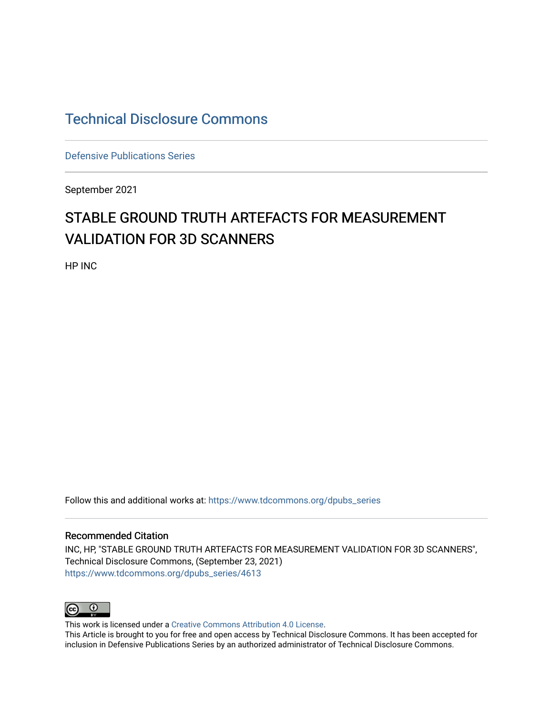## [Technical Disclosure Commons](https://www.tdcommons.org/)

[Defensive Publications Series](https://www.tdcommons.org/dpubs_series)

September 2021

# STABLE GROUND TRUTH ARTEFACTS FOR MEASUREMENT VALIDATION FOR 3D SCANNERS

HP INC

Follow this and additional works at: [https://www.tdcommons.org/dpubs\\_series](https://www.tdcommons.org/dpubs_series?utm_source=www.tdcommons.org%2Fdpubs_series%2F4613&utm_medium=PDF&utm_campaign=PDFCoverPages) 

#### Recommended Citation

INC, HP, "STABLE GROUND TRUTH ARTEFACTS FOR MEASUREMENT VALIDATION FOR 3D SCANNERS", Technical Disclosure Commons, (September 23, 2021) [https://www.tdcommons.org/dpubs\\_series/4613](https://www.tdcommons.org/dpubs_series/4613?utm_source=www.tdcommons.org%2Fdpubs_series%2F4613&utm_medium=PDF&utm_campaign=PDFCoverPages)



This work is licensed under a [Creative Commons Attribution 4.0 License](http://creativecommons.org/licenses/by/4.0/deed.en_US).

This Article is brought to you for free and open access by Technical Disclosure Commons. It has been accepted for inclusion in Defensive Publications Series by an authorized administrator of Technical Disclosure Commons.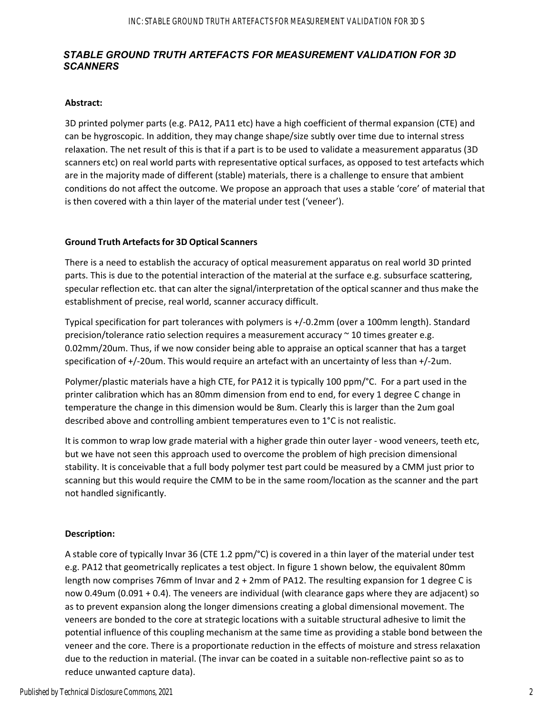### *STABLE GROUND TRUTH ARTEFACTS FOR MEASUREMENT VALIDATION FOR 3D SCANNERS*

#### **Abstract:**

3D printed polymer parts (e.g. PA12, PA11 etc) have a high coefficient of thermal expansion (CTE) and can be hygroscopic. In addition, they may change shape/size subtly over time due to internal stress relaxation. The net result of this is that if a part is to be used to validate a measurement apparatus (3D scanners etc) on real world parts with representative optical surfaces, as opposed to test artefacts which are in the majority made of different (stable) materials, there is a challenge to ensure that ambient conditions do not affect the outcome. We propose an approach that uses a stable 'core' of material that is then covered with a thin layer of the material under test ('veneer').

#### **Ground Truth Artefactsfor 3D Optical Scanners**

There is a need to establish the accuracy of optical measurement apparatus on real world 3D printed parts. This is due to the potential interaction of the material at the surface e.g. subsurface scattering, specular reflection etc. that can alter the signal/interpretation of the optical scanner and thus make the establishment of precise, real world, scanner accuracy difficult.

Typical specification for part tolerances with polymers is +/‐0.2mm (over a 100mm length). Standard precision/tolerance ratio selection requires a measurement accuracy  $\sim$  10 times greater e.g. 0.02mm/20um. Thus, if we now consider being able to appraise an optical scanner that has a target specification of +/-20um. This would require an artefact with an uncertainty of less than +/-2um.

Polymer/plastic materials have a high CTE, for PA12 it is typically 100 ppm/°C. For a part used in the printer calibration which has an 80mm dimension from end to end, for every 1 degree C change in temperature the change in this dimension would be 8um. Clearly this is larger than the 2um goal described above and controlling ambient temperatures even to 1°C is not realistic.

It is common to wrap low grade material with a higher grade thin outer layer - wood veneers, teeth etc, but we have not seen this approach used to overcome the problem of high precision dimensional stability. It is conceivable that a full body polymer test part could be measured by a CMM just prior to scanning but this would require the CMM to be in the same room/location as the scanner and the part not handled significantly.

#### **Description:**

A stable core of typically Invar 36 (CTE 1.2 ppm/°C) is covered in a thin layer of the material under test e.g. PA12 that geometrically replicates a test object. In figure 1 shown below, the equivalent 80mm length now comprises 76mm of Invar and 2 + 2mm of PA12. The resulting expansion for 1 degree C is now 0.49um (0.091 + 0.4). The veneers are individual (with clearance gaps where they are adjacent) so as to prevent expansion along the longer dimensions creating a global dimensional movement. The veneers are bonded to the core at strategic locations with a suitable structural adhesive to limit the potential influence of this coupling mechanism at the same time as providing a stable bond between the veneer and the core. There is a proportionate reduction in the effects of moisture and stress relaxation due to the reduction in material. (The invar can be coated in a suitable non‐reflective paint so as to reduce unwanted capture data).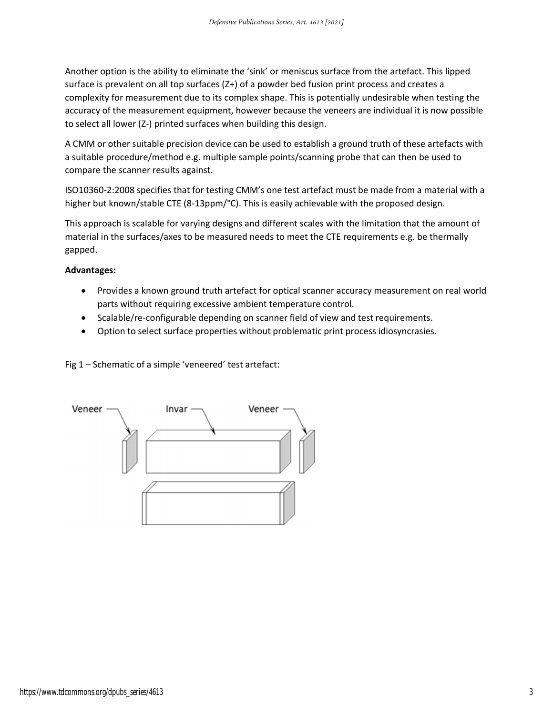Another option is the ability to eliminate the 'sink' or meniscus surface from the artefact. This lipped surface is prevalent on all top surfaces (Z+) of a powder bed fusion print process and creates a complexity for measurement due to its complex shape. This is potentially undesirable when testing the accuracy of the measurement equipment, however because the veneers are individual it is now possible to select all lower (Z‐) printed surfaces when building this design.

A CMM or other suitable precision device can be used to establish a ground truth of these artefacts with a suitable procedure/method e.g. multiple sample points/scanning probe that can then be used to compare the scanner results against.

ISO10360‐2:2008 specifies that for testing CMM's one test artefact must be made from a material with a higher but known/stable CTE (8-13ppm/°C). This is easily achievable with the proposed design.

This approach is scalable for varying designs and different scales with the limitation that the amount of material in the surfaces/axes to be measured needs to meet the CTE requirements e.g. be thermally gapped.

#### **Advantages:**

- Provides a known ground truth artefact for optical scanner accuracy measurement on real world parts without requiring excessive ambient temperature control.
- Scalable/re-configurable depending on scanner field of view and test requirements.
- Option to select surface properties without problematic print process idiosyncrasies.

Fig 1 – Schematic of a simple 'veneered' test artefact: